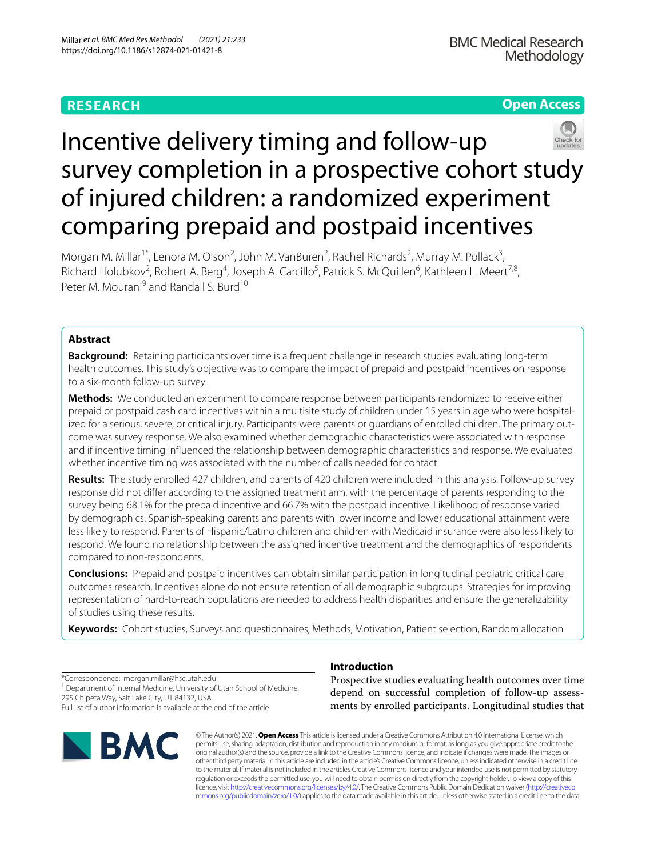# **RESEARCH**

# **Open Access**



# Incentive delivery timing and follow-up survey completion in a prospective cohort study of injured children: a randomized experiment comparing prepaid and postpaid incentives

Morgan M. Millar<sup>1\*</sup>, Lenora M. Olson<sup>2</sup>, John M. VanBuren<sup>2</sup>, Rachel Richards<sup>2</sup>, Murray M. Pollack<sup>3</sup>, Richard Holubkov<sup>2</sup>, Robert A. Berg<sup>4</sup>, Joseph A. Carcillo<sup>5</sup>, Patrick S. McQuillen<sup>6</sup>, Kathleen L. Meert<sup>7,8</sup>, Peter M. Mourani<sup>9</sup> and Randall S. Burd<sup>10</sup>

# **Abstract**

**Background:** Retaining participants over time is a frequent challenge in research studies evaluating long-term health outcomes. This study's objective was to compare the impact of prepaid and postpaid incentives on response to a six-month follow-up survey.

**Methods:** We conducted an experiment to compare response between participants randomized to receive either prepaid or postpaid cash card incentives within a multisite study of children under 15 years in age who were hospitalized for a serious, severe, or critical injury. Participants were parents or guardians of enrolled children. The primary outcome was survey response. We also examined whether demographic characteristics were associated with response and if incentive timing infuenced the relationship between demographic characteristics and response. We evaluated whether incentive timing was associated with the number of calls needed for contact.

**Results:** The study enrolled 427 children, and parents of 420 children were included in this analysis. Follow-up survey response did not difer according to the assigned treatment arm, with the percentage of parents responding to the survey being 68.1% for the prepaid incentive and 66.7% with the postpaid incentive. Likelihood of response varied by demographics. Spanish-speaking parents and parents with lower income and lower educational attainment were less likely to respond. Parents of Hispanic/Latino children and children with Medicaid insurance were also less likely to respond. We found no relationship between the assigned incentive treatment and the demographics of respondents compared to non-respondents.

**Conclusions:** Prepaid and postpaid incentives can obtain similar participation in longitudinal pediatric critical care outcomes research. Incentives alone do not ensure retention of all demographic subgroups. Strategies for improving representation of hard-to-reach populations are needed to address health disparities and ensure the generalizability of studies using these results.

**Keywords:** Cohort studies, Surveys and questionnaires, Methods, Motivation, Patient selection, Random allocation

\*Correspondence: morgan.millar@hsc.utah.edu <sup>1</sup> Department of Internal Medicine, University of Utah School of Medicine, 295 Chipeta Way, Salt Lake City, UT 84132, USA Full list of author information is available at the end of the article



# **Introduction**

Prospective studies evaluating health outcomes over time depend on successful completion of follow-up assessments by enrolled participants. Longitudinal studies that

© The Author(s) 2021. **Open Access** This article is licensed under a Creative Commons Attribution 4.0 International License, which permits use, sharing, adaptation, distribution and reproduction in any medium or format, as long as you give appropriate credit to the original author(s) and the source, provide a link to the Creative Commons licence, and indicate if changes were made. The images or other third party material in this article are included in the article's Creative Commons licence, unless indicated otherwise in a credit line to the material. If material is not included in the article's Creative Commons licence and your intended use is not permitted by statutory regulation or exceeds the permitted use, you will need to obtain permission directly from the copyright holder. To view a copy of this licence, visit [http://creativecommons.org/licenses/by/4.0/.](http://creativecommons.org/licenses/by/4.0/) The Creative Commons Public Domain Dedication waiver ([http://creativeco](http://creativecommons.org/publicdomain/zero/1.0/) [mmons.org/publicdomain/zero/1.0/](http://creativecommons.org/publicdomain/zero/1.0/)) applies to the data made available in this article, unless otherwise stated in a credit line to the data.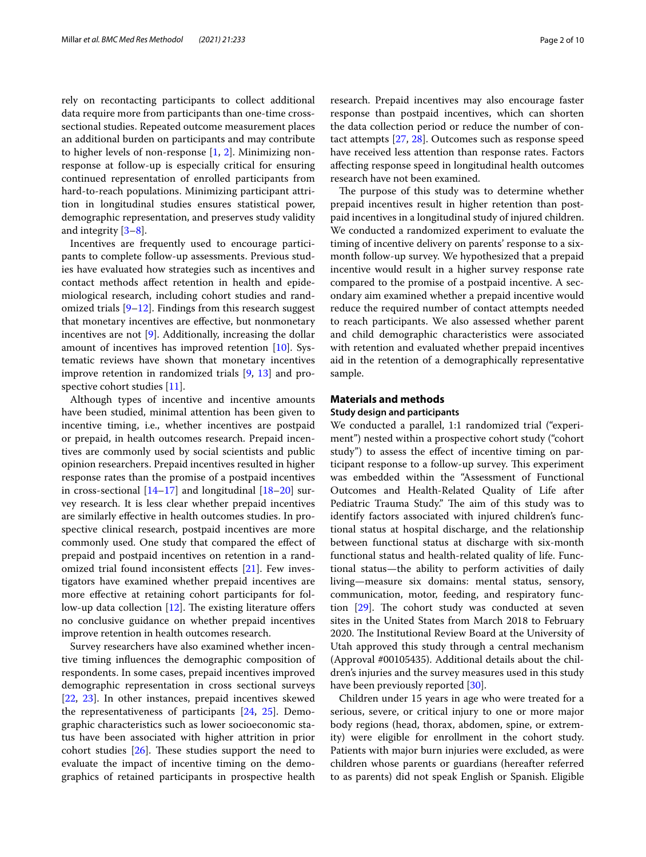rely on recontacting participants to collect additional data require more from participants than one-time crosssectional studies. Repeated outcome measurement places an additional burden on participants and may contribute to higher levels of non-response [\[1](#page-8-0), [2](#page-8-1)]. Minimizing nonresponse at follow-up is especially critical for ensuring continued representation of enrolled participants from hard-to-reach populations. Minimizing participant attrition in longitudinal studies ensures statistical power, demographic representation, and preserves study validity and integrity [\[3](#page-8-2)[–8](#page-8-3)].

Incentives are frequently used to encourage participants to complete follow-up assessments. Previous studies have evaluated how strategies such as incentives and contact methods afect retention in health and epidemiological research, including cohort studies and randomized trials [\[9](#page-8-4)[–12\]](#page-8-5). Findings from this research suggest that monetary incentives are efective, but nonmonetary incentives are not [[9\]](#page-8-4). Additionally, increasing the dollar amount of incentives has improved retention [\[10](#page-8-6)]. Systematic reviews have shown that monetary incentives improve retention in randomized trials [[9,](#page-8-4) [13](#page-8-7)] and prospective cohort studies [[11\]](#page-8-8).

Although types of incentive and incentive amounts have been studied, minimal attention has been given to incentive timing, i.e., whether incentives are postpaid or prepaid, in health outcomes research. Prepaid incentives are commonly used by social scientists and public opinion researchers. Prepaid incentives resulted in higher response rates than the promise of a postpaid incentives in cross-sectional  $[14-17]$  $[14-17]$  $[14-17]$  and longitudinal  $[18-20]$  $[18-20]$  survey research. It is less clear whether prepaid incentives are similarly efective in health outcomes studies. In prospective clinical research, postpaid incentives are more commonly used. One study that compared the efect of prepaid and postpaid incentives on retention in a rand-omized trial found inconsistent effects [\[21](#page-8-13)]. Few investigators have examined whether prepaid incentives are more efective at retaining cohort participants for follow-up data collection  $[12]$  $[12]$ . The existing literature offers no conclusive guidance on whether prepaid incentives improve retention in health outcomes research.

Survey researchers have also examined whether incentive timing infuences the demographic composition of respondents. In some cases, prepaid incentives improved demographic representation in cross sectional surveys [[22,](#page-8-14) [23](#page-8-15)]. In other instances, prepaid incentives skewed the representativeness of participants [[24,](#page-8-16) [25\]](#page-8-17). Demographic characteristics such as lower socioeconomic status have been associated with higher attrition in prior cohort studies  $[26]$ . These studies support the need to evaluate the impact of incentive timing on the demographics of retained participants in prospective health research. Prepaid incentives may also encourage faster response than postpaid incentives, which can shorten the data collection period or reduce the number of contact attempts [[27,](#page-8-19) [28\]](#page-8-20). Outcomes such as response speed have received less attention than response rates. Factors afecting response speed in longitudinal health outcomes research have not been examined.

The purpose of this study was to determine whether prepaid incentives result in higher retention than postpaid incentives in a longitudinal study of injured children. We conducted a randomized experiment to evaluate the timing of incentive delivery on parents' response to a sixmonth follow-up survey. We hypothesized that a prepaid incentive would result in a higher survey response rate compared to the promise of a postpaid incentive. A secondary aim examined whether a prepaid incentive would reduce the required number of contact attempts needed to reach participants. We also assessed whether parent and child demographic characteristics were associated with retention and evaluated whether prepaid incentives aid in the retention of a demographically representative sample.

#### **Materials and methods**

#### **Study design and participants**

We conducted a parallel, 1:1 randomized trial ("experiment") nested within a prospective cohort study ("cohort study") to assess the efect of incentive timing on participant response to a follow-up survey. This experiment was embedded within the "Assessment of Functional Outcomes and Health-Related Quality of Life after Pediatric Trauma Study." The aim of this study was to identify factors associated with injured children's functional status at hospital discharge, and the relationship between functional status at discharge with six-month functional status and health-related quality of life. Functional status—the ability to perform activities of daily living—measure six domains: mental status, sensory, communication, motor, feeding, and respiratory function  $[29]$ . The cohort study was conducted at seven sites in the United States from March 2018 to February 2020. The Institutional Review Board at the University of Utah approved this study through a central mechanism (Approval #00105435). Additional details about the children's injuries and the survey measures used in this study have been previously reported [[30](#page-9-1)].

Children under 15 years in age who were treated for a serious, severe, or critical injury to one or more major body regions (head, thorax, abdomen, spine, or extremity) were eligible for enrollment in the cohort study. Patients with major burn injuries were excluded, as were children whose parents or guardians (hereafter referred to as parents) did not speak English or Spanish. Eligible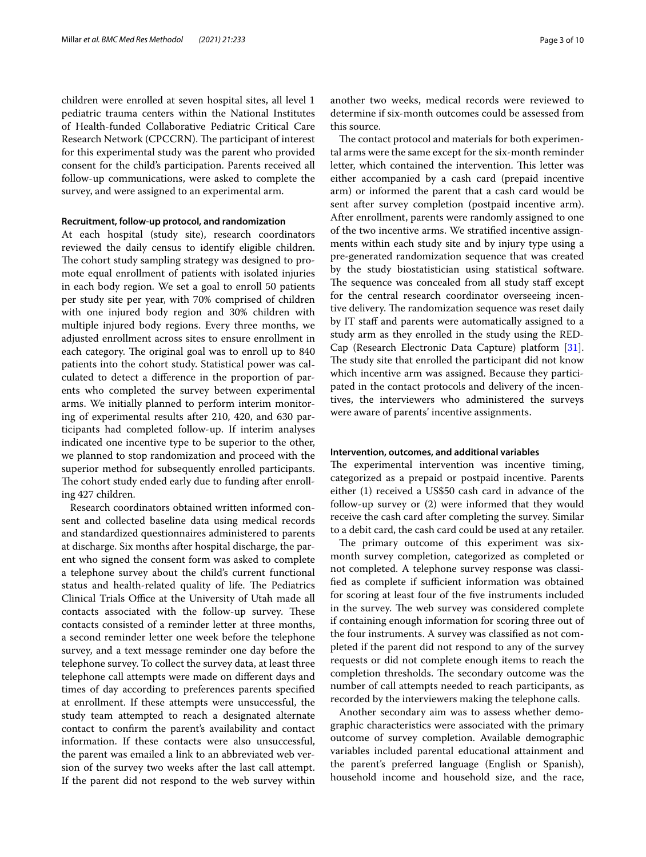children were enrolled at seven hospital sites, all level 1 pediatric trauma centers within the National Institutes of Health-funded Collaborative Pediatric Critical Care Research Network (CPCCRN). The participant of interest for this experimental study was the parent who provided consent for the child's participation. Parents received all follow-up communications, were asked to complete the survey, and were assigned to an experimental arm.

#### **Recruitment, follow‑up protocol, and randomization**

At each hospital (study site), research coordinators reviewed the daily census to identify eligible children. The cohort study sampling strategy was designed to promote equal enrollment of patients with isolated injuries in each body region. We set a goal to enroll 50 patients per study site per year, with 70% comprised of children with one injured body region and 30% children with multiple injured body regions. Every three months, we adjusted enrollment across sites to ensure enrollment in each category. The original goal was to enroll up to 840 patients into the cohort study. Statistical power was calculated to detect a diference in the proportion of parents who completed the survey between experimental arms. We initially planned to perform interim monitoring of experimental results after 210, 420, and 630 participants had completed follow-up. If interim analyses indicated one incentive type to be superior to the other, we planned to stop randomization and proceed with the superior method for subsequently enrolled participants. The cohort study ended early due to funding after enrolling 427 children.

Research coordinators obtained written informed consent and collected baseline data using medical records and standardized questionnaires administered to parents at discharge. Six months after hospital discharge, the parent who signed the consent form was asked to complete a telephone survey about the child's current functional status and health-related quality of life. The Pediatrics Clinical Trials Office at the University of Utah made all contacts associated with the follow-up survey. These contacts consisted of a reminder letter at three months, a second reminder letter one week before the telephone survey, and a text message reminder one day before the telephone survey. To collect the survey data, at least three telephone call attempts were made on diferent days and times of day according to preferences parents specifed at enrollment. If these attempts were unsuccessful, the study team attempted to reach a designated alternate contact to confrm the parent's availability and contact information. If these contacts were also unsuccessful, the parent was emailed a link to an abbreviated web version of the survey two weeks after the last call attempt. If the parent did not respond to the web survey within

The contact protocol and materials for both experimental arms were the same except for the six-month reminder letter, which contained the intervention. This letter was either accompanied by a cash card (prepaid incentive arm) or informed the parent that a cash card would be sent after survey completion (postpaid incentive arm). After enrollment, parents were randomly assigned to one of the two incentive arms. We stratifed incentive assignments within each study site and by injury type using a pre-generated randomization sequence that was created by the study biostatistician using statistical software. The sequence was concealed from all study staff except for the central research coordinator overseeing incentive delivery. The randomization sequence was reset daily by IT staf and parents were automatically assigned to a study arm as they enrolled in the study using the RED-Cap (Research Electronic Data Capture) platform [\[31](#page-9-2)]. The study site that enrolled the participant did not know which incentive arm was assigned. Because they participated in the contact protocols and delivery of the incentives, the interviewers who administered the surveys were aware of parents' incentive assignments.

#### **Intervention, outcomes, and additional variables**

The experimental intervention was incentive timing, categorized as a prepaid or postpaid incentive. Parents either (1) received a US\$50 cash card in advance of the follow-up survey or (2) were informed that they would receive the cash card after completing the survey. Similar to a debit card, the cash card could be used at any retailer.

The primary outcome of this experiment was sixmonth survey completion, categorized as completed or not completed. A telephone survey response was classified as complete if sufficient information was obtained for scoring at least four of the fve instruments included in the survey. The web survey was considered complete if containing enough information for scoring three out of the four instruments. A survey was classifed as not completed if the parent did not respond to any of the survey requests or did not complete enough items to reach the completion thresholds. The secondary outcome was the number of call attempts needed to reach participants, as recorded by the interviewers making the telephone calls.

Another secondary aim was to assess whether demographic characteristics were associated with the primary outcome of survey completion. Available demographic variables included parental educational attainment and the parent's preferred language (English or Spanish), household income and household size, and the race,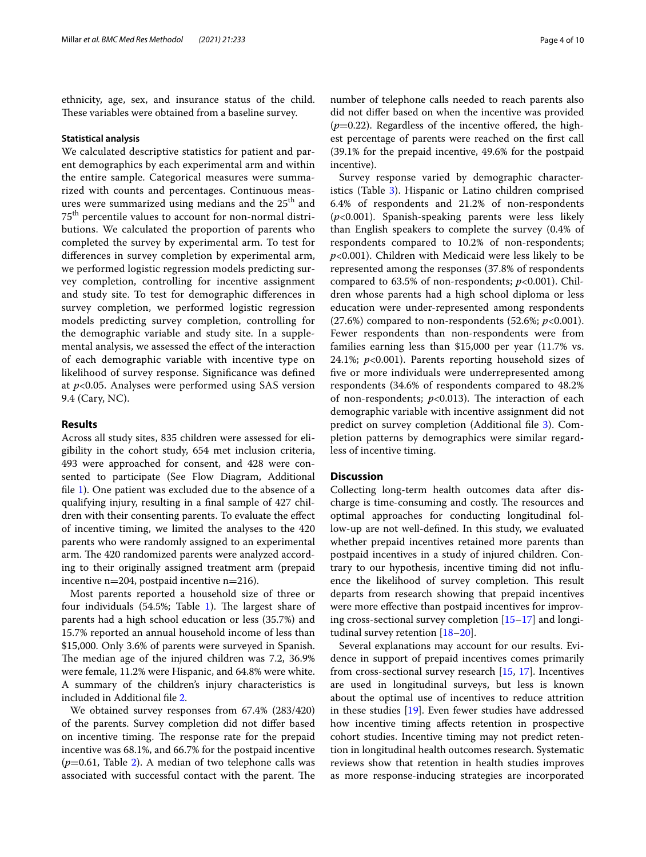ethnicity, age, sex, and insurance status of the child. These variables were obtained from a baseline survey.

#### **Statistical analysis**

We calculated descriptive statistics for patient and parent demographics by each experimental arm and within the entire sample. Categorical measures were summarized with counts and percentages. Continuous measures were summarized using medians and the 25<sup>th</sup> and 75th percentile values to account for non-normal distributions. We calculated the proportion of parents who completed the survey by experimental arm. To test for diferences in survey completion by experimental arm, we performed logistic regression models predicting survey completion, controlling for incentive assignment and study site. To test for demographic diferences in survey completion, we performed logistic regression models predicting survey completion, controlling for the demographic variable and study site. In a supplemental analysis, we assessed the efect of the interaction of each demographic variable with incentive type on likelihood of survey response. Signifcance was defned at *p*<0.05. Analyses were performed using SAS version 9.4 (Cary, NC).

#### **Results**

Across all study sites, 835 children were assessed for eligibility in the cohort study, 654 met inclusion criteria, 493 were approached for consent, and 428 were consented to participate (See Flow Diagram, Additional fle [1\)](#page-7-0). One patient was excluded due to the absence of a qualifying injury, resulting in a fnal sample of 427 children with their consenting parents. To evaluate the efect of incentive timing, we limited the analyses to the 420 parents who were randomly assigned to an experimental arm. The 420 randomized parents were analyzed according to their originally assigned treatment arm (prepaid incentive n=204, postpaid incentive n=216).

Most parents reported a household size of three or four individuals  $(54.5\%;$  Table [1\)](#page-4-0). The largest share of parents had a high school education or less (35.7%) and 15.7% reported an annual household income of less than \$15,000. Only 3.6% of parents were surveyed in Spanish. The median age of the injured children was 7.2, 36.9% were female, 11.2% were Hispanic, and 64.8% were white. A summary of the children's injury characteristics is included in Additional fle [2](#page-7-1).

We obtained survey responses from 67.4% (283/420) of the parents. Survey completion did not difer based on incentive timing. The response rate for the prepaid incentive was 68.1%, and 66.7% for the postpaid incentive (*p*=0.61, Table [2\)](#page-5-0). A median of two telephone calls was associated with successful contact with the parent. The number of telephone calls needed to reach parents also did not difer based on when the incentive was provided  $(p=0.22)$ . Regardless of the incentive offered, the highest percentage of parents were reached on the frst call (39.1% for the prepaid incentive, 49.6% for the postpaid incentive).

Survey response varied by demographic character-istics (Table [3](#page-6-0)). Hispanic or Latino children comprised 6.4% of respondents and 21.2% of non-respondents (*p*<0.001). Spanish-speaking parents were less likely than English speakers to complete the survey (0.4% of respondents compared to 10.2% of non-respondents; *p*<0.001). Children with Medicaid were less likely to be represented among the responses (37.8% of respondents compared to 63.5% of non-respondents; *p*<0.001). Children whose parents had a high school diploma or less education were under-represented among respondents (27.6%) compared to non-respondents (52.6%; *p*<0.001). Fewer respondents than non-respondents were from families earning less than \$15,000 per year (11.7% vs. 24.1%; *p*<0.001). Parents reporting household sizes of fve or more individuals were underrepresented among respondents (34.6% of respondents compared to 48.2% of non-respondents;  $p<0.013$ ). The interaction of each demographic variable with incentive assignment did not predict on survey completion (Additional fle [3\)](#page-7-2). Completion patterns by demographics were similar regardless of incentive timing.

#### **Discussion**

Collecting long-term health outcomes data after discharge is time-consuming and costly. The resources and optimal approaches for conducting longitudinal follow-up are not well-defned. In this study, we evaluated whether prepaid incentives retained more parents than postpaid incentives in a study of injured children. Contrary to our hypothesis, incentive timing did not infuence the likelihood of survey completion. This result departs from research showing that prepaid incentives were more effective than postpaid incentives for improving cross-sectional survey completion [\[15](#page-8-21)[–17\]](#page-8-10) and longitudinal survey retention [\[18](#page-8-11)[–20\]](#page-8-12).

Several explanations may account for our results. Evidence in support of prepaid incentives comes primarily from cross-sectional survey research [\[15](#page-8-21), [17](#page-8-10)]. Incentives are used in longitudinal surveys, but less is known about the optimal use of incentives to reduce attrition in these studies [\[19\]](#page-8-22). Even fewer studies have addressed how incentive timing afects retention in prospective cohort studies. Incentive timing may not predict retention in longitudinal health outcomes research. Systematic reviews show that retention in health studies improves as more response-inducing strategies are incorporated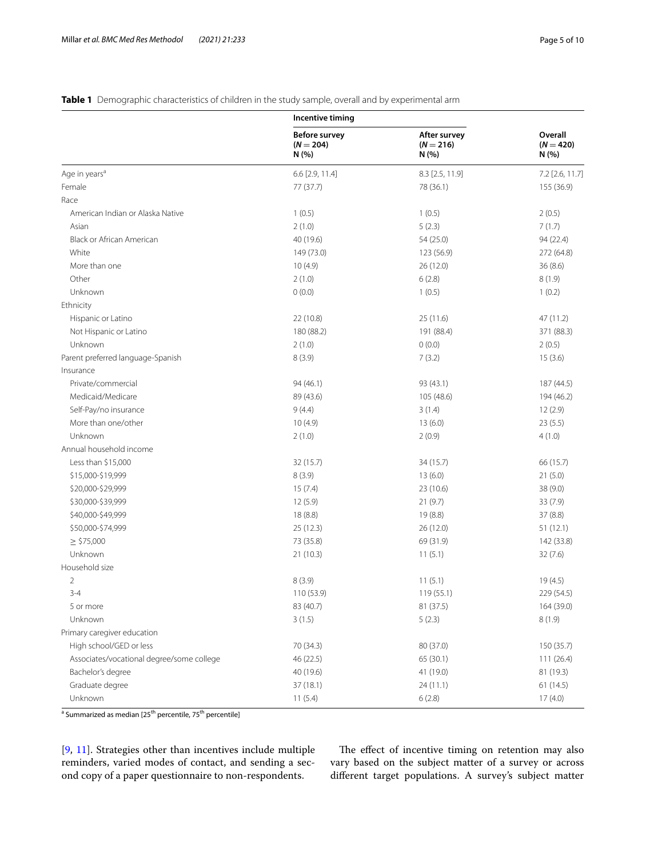|                                           | Incentive timing                             |                                      |                                        |
|-------------------------------------------|----------------------------------------------|--------------------------------------|----------------------------------------|
|                                           | <b>Before survey</b><br>$(N = 204)$<br>N (%) | After survey<br>$(N = 216)$<br>N(% ) | <b>Overall</b><br>$(N = 420)$<br>N (%) |
| Age in years <sup>a</sup>                 | 6.6 [2.9, 11.4]                              | 8.3 [2.5, 11.9]                      | 7.2 [2.6, 11.7]                        |
| Female                                    | 77 (37.7)                                    | 78 (36.1)                            | 155 (36.9)                             |
| Race                                      |                                              |                                      |                                        |
| American Indian or Alaska Native          | 1(0.5)                                       | 1(0.5)                               | 2(0.5)                                 |
| Asian                                     | 2(1.0)                                       | 5(2.3)                               | 7(1.7)                                 |
| <b>Black or African American</b>          | 40 (19.6)                                    | 54(25.0)                             | 94 (22.4)                              |
| White                                     | 149 (73.0)                                   | 123 (56.9)                           | 272 (64.8)                             |
| More than one                             | 10(4.9)                                      | 26 (12.0)                            | 36(8.6)                                |
| Other                                     | 2(1.0)                                       | 6(2.8)                               | 8(1.9)                                 |
| Unknown                                   | 0(0.0)                                       | 1(0.5)                               | 1(0.2)                                 |
| Ethnicity                                 |                                              |                                      |                                        |
| Hispanic or Latino                        | 22 (10.8)                                    | 25(11.6)                             | 47 (11.2)                              |
| Not Hispanic or Latino                    | 180 (88.2)                                   | 191 (88.4)                           | 371 (88.3)                             |
| Unknown                                   | 2(1.0)                                       | 0(0.0)                               | 2(0.5)                                 |
| Parent preferred language-Spanish         | 8(3.9)                                       | 7(3.2)                               | 15(3.6)                                |
| Insurance                                 |                                              |                                      |                                        |
| Private/commercial                        | 94 (46.1)                                    | 93 (43.1)                            | 187 (44.5)                             |
| Medicaid/Medicare                         | 89 (43.6)                                    | 105 (48.6)                           | 194 (46.2)                             |
| Self-Pay/no insurance                     | 9(4.4)                                       | 3(1.4)                               | 12(2.9)                                |
| More than one/other                       | 10(4.9)                                      | 13(6.0)                              | 23(5.5)                                |
| Unknown                                   | 2(1.0)                                       | 2(0.9)                               | 4(1.0)                                 |
| Annual household income                   |                                              |                                      |                                        |
| Less than \$15,000                        | 32 (15.7)                                    | 34 (15.7)                            | 66 (15.7)                              |
| \$15,000-\$19,999                         | 8(3.9)                                       | 13(6.0)                              | 21(5.0)                                |
| \$20,000-\$29,999                         | 15(7.4)                                      | 23(10.6)                             | 38 (9.0)                               |
| \$30,000-\$39,999                         | 12(5.9)                                      | 21(9.7)                              | 33(7.9)                                |
| \$40,000-\$49,999                         | 18 (8.8)                                     | 19 (8.8)                             | 37(8.8)                                |
| \$50,000-\$74,999                         | 25 (12.3)                                    | 26 (12.0)                            | 51(12.1)                               |
| $\ge$ \$75,000                            | 73 (35.8)                                    | 69 (31.9)                            | 142 (33.8)                             |
| Unknown                                   | 21(10.3)                                     | 11(5.1)                              | 32(7.6)                                |
| Household size                            |                                              |                                      |                                        |
| $\overline{2}$                            | 8(3.9)                                       | 11(5.1)                              | 19(4.5)                                |
| $3 - 4$                                   | 110 (53.9)                                   | 119(55.1)                            | 229 (54.5)                             |
| 5 or more                                 | 83 (40.7)                                    | 81 (37.5)                            | 164 (39.0)                             |
| Unknown                                   | 3(1.5)                                       | 5(2.3)                               | 8(1.9)                                 |
| Primary caregiver education               |                                              |                                      |                                        |
| High school/GED or less                   | 70 (34.3)                                    | 80 (37.0)                            | 150 (35.7)                             |
| Associates/vocational degree/some college | 46 (22.5)                                    | 65 (30.1)                            | 111 (26.4)                             |
| Bachelor's degree                         | 40 (19.6)                                    | 41 (19.0)                            | 81 (19.3)                              |
| Graduate degree                           | 37(18.1)                                     | 24 (11.1)                            | 61(14.5)                               |
| Unknown                                   | 11(5.4)                                      | 6(2.8)                               | 17(4.0)                                |

## <span id="page-4-0"></span>**Table 1** Demographic characteristics of children in the study sample, overall and by experimental arm

<sup>a</sup> Summarized as median [25<sup>th</sup> percentile, 75<sup>th</sup> percentile]

[[9,](#page-8-4) [11](#page-8-8)]. Strategies other than incentives include multiple reminders, varied modes of contact, and sending a second copy of a paper questionnaire to non-respondents.

The effect of incentive timing on retention may also vary based on the subject matter of a survey or across diferent target populations. A survey's subject matter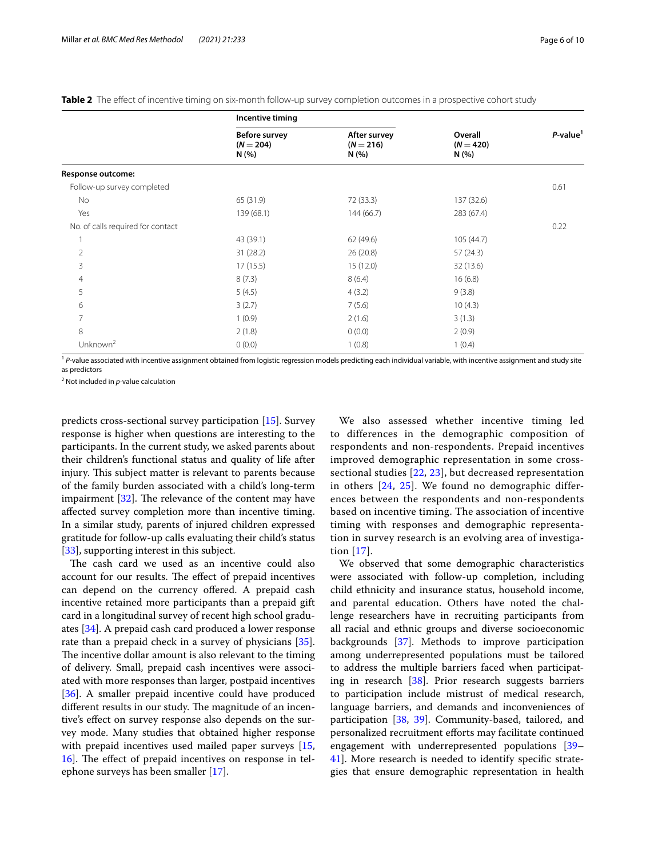|                                   | Incentive timing                             |                                     |                                 |                |
|-----------------------------------|----------------------------------------------|-------------------------------------|---------------------------------|----------------|
|                                   | <b>Before survey</b><br>$(N = 204)$<br>N(% ) | After survey<br>$(N = 216)$<br>N(%) | Overall<br>$(N = 420)$<br>N (%) | $P$ -value $1$ |
| Response outcome:                 |                                              |                                     |                                 |                |
| Follow-up survey completed        |                                              |                                     |                                 | 0.61           |
| No                                | 65 (31.9)                                    | 72 (33.3)                           | 137 (32.6)                      |                |
| Yes                               | 139 (68.1)                                   | 144 (66.7)                          | 283 (67.4)                      |                |
| No. of calls required for contact |                                              |                                     |                                 | 0.22           |
| 1                                 | 43 (39.1)                                    | 62 (49.6)                           | 105 (44.7)                      |                |
| $\overline{2}$                    | 31(28.2)                                     | 26(20.8)                            | 57(24.3)                        |                |
| 3                                 | 17(15.5)                                     | 15(12.0)                            | 32(13.6)                        |                |
| 4                                 | 8(7.3)                                       | 8(6.4)                              | 16(6.8)                         |                |
| 5                                 | 5(4.5)                                       | 4(3.2)                              | 9(3.8)                          |                |
| 6                                 | 3(2.7)                                       | 7(5.6)                              | 10(4.3)                         |                |
| 7                                 | 1(0.9)                                       | 2(1.6)                              | 3(1.3)                          |                |
| 8                                 | 2(1.8)                                       | 0(0.0)                              | 2(0.9)                          |                |
| Unknown $^2$                      | 0(0.0)                                       | 1(0.8)                              | 1(0.4)                          |                |
|                                   |                                              |                                     |                                 |                |

<span id="page-5-0"></span>**Table 2** The effect of incentive timing on six-month follow-up survey completion outcomes in a prospective cohort study

<sup>1</sup> P-value associated with incentive assignment obtained from logistic regression models predicting each individual variable, with incentive assignment and study site as predictors

2 Not included in *p*-value calculation

predicts cross-sectional survey participation [[15](#page-8-21)]. Survey response is higher when questions are interesting to the participants. In the current study, we asked parents about their children's functional status and quality of life after injury. This subject matter is relevant to parents because of the family burden associated with a child's long-term impairment  $[32]$  $[32]$ . The relevance of the content may have afected survey completion more than incentive timing. In a similar study, parents of injured children expressed gratitude for follow-up calls evaluating their child's status [[33\]](#page-9-4), supporting interest in this subject.

The cash card we used as an incentive could also account for our results. The effect of prepaid incentives can depend on the currency ofered. A prepaid cash incentive retained more participants than a prepaid gift card in a longitudinal survey of recent high school graduates [\[34](#page-9-5)]. A prepaid cash card produced a lower response rate than a prepaid check in a survey of physicians [\[35](#page-9-6)]. The incentive dollar amount is also relevant to the timing of delivery. Small, prepaid cash incentives were associated with more responses than larger, postpaid incentives [[36\]](#page-9-7). A smaller prepaid incentive could have produced different results in our study. The magnitude of an incentive's efect on survey response also depends on the survey mode. Many studies that obtained higher response with prepaid incentives used mailed paper surveys [\[15](#page-8-21), 16. The effect of prepaid incentives on response in telephone surveys has been smaller [[17\]](#page-8-10).

We also assessed whether incentive timing led to differences in the demographic composition of respondents and non-respondents. Prepaid incentives improved demographic representation in some crosssectional studies  $[22, 23]$  $[22, 23]$  $[22, 23]$  $[22, 23]$  $[22, 23]$ , but decreased representation in others [[24](#page-8-16), [25](#page-8-17)]. We found no demographic differences between the respondents and non-respondents based on incentive timing. The association of incentive timing with responses and demographic representation in survey research is an evolving area of investigation [[17](#page-8-10)].

We observed that some demographic characteristics were associated with follow-up completion, including child ethnicity and insurance status, household income, and parental education. Others have noted the challenge researchers have in recruiting participants from all racial and ethnic groups and diverse socioeconomic backgrounds [[37\]](#page-9-8). Methods to improve participation among underrepresented populations must be tailored to address the multiple barriers faced when participating in research [[38\]](#page-9-9). Prior research suggests barriers to participation include mistrust of medical research, language barriers, and demands and inconveniences of participation [\[38](#page-9-9), [39\]](#page-9-10). Community-based, tailored, and personalized recruitment eforts may facilitate continued engagement with underrepresented populations [[39–](#page-9-10) 41. More research is needed to identify specific strategies that ensure demographic representation in health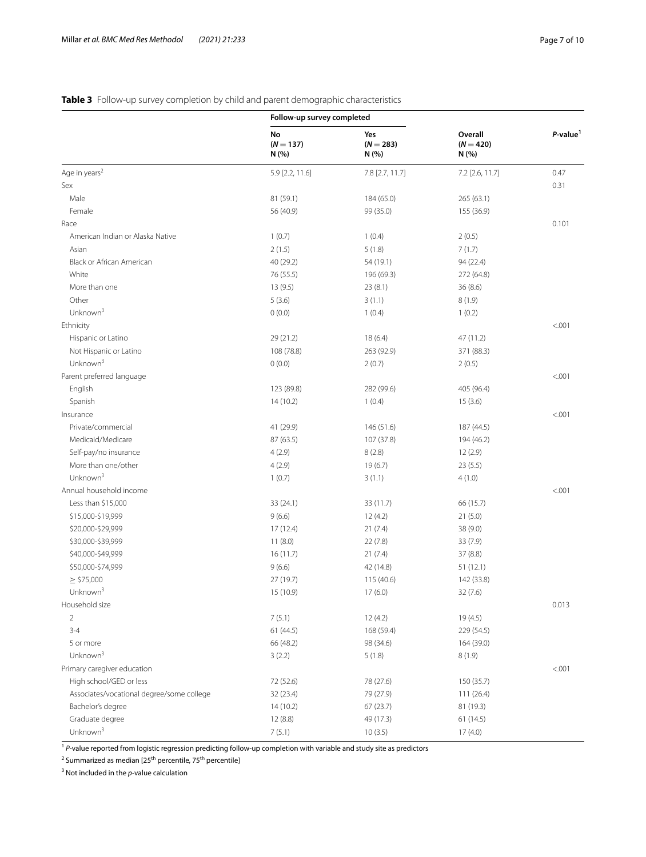## <span id="page-6-0"></span>**Table 3** Follow-up survey completion by child and parent demographic characteristics

|                                           | Follow-up survey completed |                            |                                 |                         |
|-------------------------------------------|----------------------------|----------------------------|---------------------------------|-------------------------|
|                                           | No<br>$(N = 137)$<br>N(%)  | Yes<br>$(N = 283)$<br>N(%) | Overall<br>$(N = 420)$<br>N (%) | $P$ -value <sup>1</sup> |
| Age in years <sup>2</sup>                 | 5.9 [2.2, 11.6]            | 7.8 [2.7, 11.7]            | 7.2 [2.6, 11.7]                 | 0.47                    |
| Sex                                       |                            |                            |                                 | 0.31                    |
| Male                                      | 81 (59.1)                  | 184 (65.0)                 | 265 (63.1)                      |                         |
| Female                                    | 56 (40.9)                  | 99 (35.0)                  | 155 (36.9)                      |                         |
| Race                                      |                            |                            |                                 | 0.101                   |
| American Indian or Alaska Native          | 1(0.7)                     | 1(0.4)                     | 2(0.5)                          |                         |
| Asian                                     | 2(1.5)                     | 5(1.8)                     | 7(1.7)                          |                         |
| Black or African American                 | 40 (29.2)                  | 54 (19.1)                  | 94 (22.4)                       |                         |
| White                                     | 76 (55.5)                  | 196 (69.3)                 | 272 (64.8)                      |                         |
| More than one                             | 13(9.5)                    | 23(8.1)                    | 36 (8.6)                        |                         |
| Other                                     | 5(3.6)                     | 3(1.1)                     | 8(1.9)                          |                         |
| Unknown <sup>3</sup>                      | 0(0.0)                     | 1(0.4)                     | 1(0.2)                          |                         |
| Ethnicity                                 |                            |                            |                                 | < .001                  |
| Hispanic or Latino                        | 29 (21.2)                  | 18(6.4)                    | 47 (11.2)                       |                         |
| Not Hispanic or Latino                    | 108 (78.8)                 | 263 (92.9)                 | 371 (88.3)                      |                         |
| Unknown <sup>3</sup>                      | 0(0.0)                     | 2(0.7)                     | 2(0.5)                          |                         |
| Parent preferred language                 |                            |                            |                                 | < .001                  |
| English                                   | 123 (89.8)                 | 282 (99.6)                 | 405 (96.4)                      |                         |
| Spanish                                   | 14(10.2)                   | 1(0.4)                     | 15(3.6)                         |                         |
| Insurance                                 |                            |                            |                                 | < .001                  |
| Private/commercial                        | 41 (29.9)                  | 146 (51.6)                 | 187 (44.5)                      |                         |
| Medicaid/Medicare                         | 87 (63.5)                  | 107 (37.8)                 | 194 (46.2)                      |                         |
| Self-pay/no insurance                     | 4(2.9)                     | 8(2.8)                     | 12(2.9)                         |                         |
| More than one/other                       | 4(2.9)                     | 19(6.7)                    | 23(5.5)                         |                         |
| Unknown $3$                               | 1(0.7)                     | 3(1.1)                     | 4(1.0)                          |                         |
| Annual household income                   |                            |                            |                                 | < .001                  |
| Less than \$15,000                        | 33 (24.1)                  | 33 (11.7)                  | 66 (15.7)                       |                         |
| \$15,000-\$19,999                         | 9(6.6)                     | 12(4.2)                    | 21(5.0)                         |                         |
| \$20,000-\$29,999                         | 17(12.4)                   | 21(7.4)                    | 38 (9.0)                        |                         |
| \$30,000-\$39,999                         | 11(8.0)                    | 22(7.8)                    | 33 (7.9)                        |                         |
| \$40,000-\$49,999                         | 16(11.7)                   | 21(7.4)                    | 37(8.8)                         |                         |
| \$50,000-\$74,999                         | 9(6.6)                     | 42 (14.8)                  | 51(12.1)                        |                         |
| $\geq$ \$75,000                           | 27 (19.7)                  |                            |                                 |                         |
| Unknown <sup>3</sup>                      | 15 (10.9)                  | 115 (40.6)<br>17(6.0)      | 142 (33.8)<br>32(7.6)           |                         |
| Household size                            |                            |                            |                                 | 0.013                   |
|                                           |                            |                            |                                 |                         |
| $\overline{2}$                            | 7(5.1)                     | 12(4.2)                    | 19(4.5)                         |                         |
| $3 - 4$                                   | 61 (44.5)                  | 168 (59.4)                 | 229 (54.5)                      |                         |
| 5 or more                                 | 66 (48.2)                  | 98 (34.6)                  | 164 (39.0)                      |                         |
| Unknown <sup>3</sup>                      | 3(2.2)                     | 5(1.8)                     | 8(1.9)                          |                         |
| Primary caregiver education               |                            |                            |                                 | < .001                  |
| High school/GED or less                   | 72 (52.6)                  | 78 (27.6)                  | 150 (35.7)                      |                         |
| Associates/vocational degree/some college | 32 (23.4)                  | 79 (27.9)                  | 111 (26.4)                      |                         |
| Bachelor's degree                         | 14(10.2)                   | 67 (23.7)                  | 81 (19.3)                       |                         |
| Graduate degree                           | 12(8.8)                    | 49 (17.3)                  | 61 (14.5)                       |                         |
| Unknown <sup>3</sup>                      | 7(5.1)                     | 10(3.5)                    | 17(4.0)                         |                         |

<sup>1</sup> *P*-value reported from logistic regression predicting follow-up completion with variable and study site as predictors

<sup>2</sup> Summarized as median [25<sup>th</sup> percentile, 75<sup>th</sup> percentile]

3 Not included in the *p*-value calculation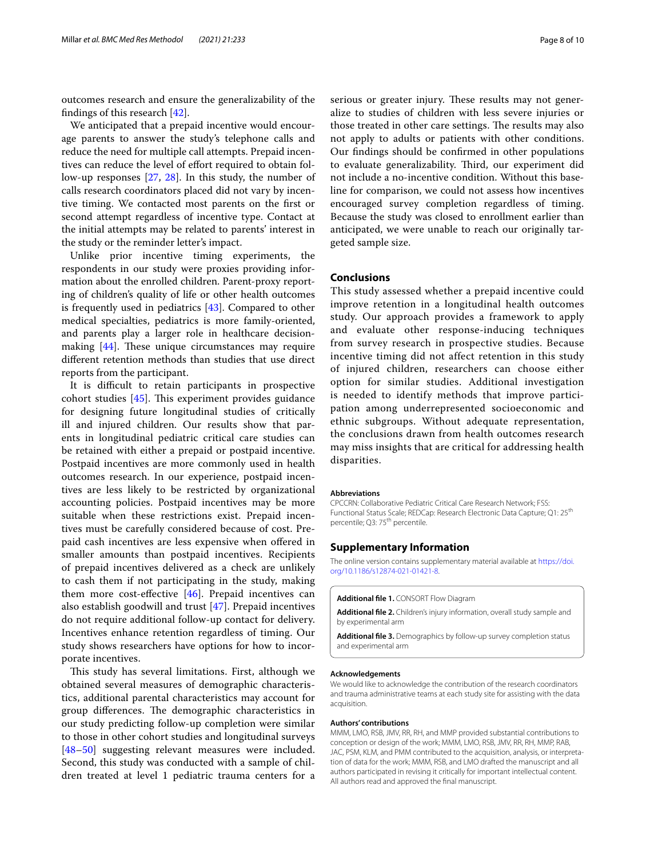outcomes research and ensure the generalizability of the fndings of this research [[42](#page-9-12)].

We anticipated that a prepaid incentive would encourage parents to answer the study's telephone calls and reduce the need for multiple call attempts. Prepaid incentives can reduce the level of efort required to obtain follow-up responses [\[27](#page-8-19), [28](#page-8-20)]. In this study, the number of calls research coordinators placed did not vary by incentive timing. We contacted most parents on the frst or second attempt regardless of incentive type. Contact at the initial attempts may be related to parents' interest in the study or the reminder letter's impact.

Unlike prior incentive timing experiments, the respondents in our study were proxies providing information about the enrolled children. Parent-proxy reporting of children's quality of life or other health outcomes is frequently used in pediatrics [[43\]](#page-9-13). Compared to other medical specialties, pediatrics is more family-oriented, and parents play a larger role in healthcare decisionmaking  $[44]$  $[44]$ . These unique circumstances may require diferent retention methods than studies that use direct reports from the participant.

It is difficult to retain participants in prospective cohort studies  $[45]$  $[45]$ . This experiment provides guidance for designing future longitudinal studies of critically ill and injured children. Our results show that parents in longitudinal pediatric critical care studies can be retained with either a prepaid or postpaid incentive. Postpaid incentives are more commonly used in health outcomes research. In our experience, postpaid incentives are less likely to be restricted by organizational accounting policies. Postpaid incentives may be more suitable when these restrictions exist. Prepaid incentives must be carefully considered because of cost. Prepaid cash incentives are less expensive when ofered in smaller amounts than postpaid incentives. Recipients of prepaid incentives delivered as a check are unlikely to cash them if not participating in the study, making them more cost-effective  $[46]$  $[46]$ . Prepaid incentives can also establish goodwill and trust [\[47](#page-9-17)]. Prepaid incentives do not require additional follow-up contact for delivery. Incentives enhance retention regardless of timing. Our study shows researchers have options for how to incorporate incentives.

This study has several limitations. First, although we obtained several measures of demographic characteristics, additional parental characteristics may account for group differences. The demographic characteristics in our study predicting follow-up completion were similar to those in other cohort studies and longitudinal surveys [[48–](#page-9-18)[50\]](#page-9-19) suggesting relevant measures were included. Second, this study was conducted with a sample of children treated at level 1 pediatric trauma centers for a serious or greater injury. These results may not generalize to studies of children with less severe injuries or those treated in other care settings. The results may also not apply to adults or patients with other conditions. Our fndings should be confrmed in other populations to evaluate generalizability. Third, our experiment did not include a no-incentive condition. Without this baseline for comparison, we could not assess how incentives encouraged survey completion regardless of timing. Because the study was closed to enrollment earlier than anticipated, we were unable to reach our originally targeted sample size.

#### **Conclusions**

This study assessed whether a prepaid incentive could improve retention in a longitudinal health outcomes study. Our approach provides a framework to apply and evaluate other response-inducing techniques from survey research in prospective studies. Because incentive timing did not affect retention in this study of injured children, researchers can choose either option for similar studies. Additional investigation is needed to identify methods that improve participation among underrepresented socioeconomic and ethnic subgroups. Without adequate representation, the conclusions drawn from health outcomes research may miss insights that are critical for addressing health disparities.

#### **Abbreviations**

CPCCRN: Collaborative Pediatric Critical Care Research Network; FSS: Functional Status Scale; REDCap: Research Electronic Data Capture; Q1: 25<sup>th</sup> percentile; Q3: 75<sup>th</sup> percentile.

#### **Supplementary Information**

The online version contains supplementary material available at [https://doi.](https://doi.org/10.1186/s12874-021-01421-8) [org/10.1186/s12874-021-01421-8](https://doi.org/10.1186/s12874-021-01421-8).

<span id="page-7-1"></span><span id="page-7-0"></span>**Additional fle 1.** CONSORT Flow Diagram

<span id="page-7-2"></span>**Additional fle 2.** Children's injury information, overall study sample and by experimental arm

**Additional fle 3.** Demographics by follow-up survey completion status and experimental arm

#### **Acknowledgements**

We would like to acknowledge the contribution of the research coordinators and trauma administrative teams at each study site for assisting with the data acquisition.

#### **Authors' contributions**

MMM, LMO, RSB, JMV, RR, RH, and MMP provided substantial contributions to conception or design of the work; MMM, LMO, RSB, JMV, RR, RH, MMP, RAB, JAC, PSM, KLM, and PMM contributed to the acquisition, analysis, or interpretation of data for the work; MMM, RSB, and LMO drafted the manuscript and all authors participated in revising it critically for important intellectual content. All authors read and approved the fnal manuscript.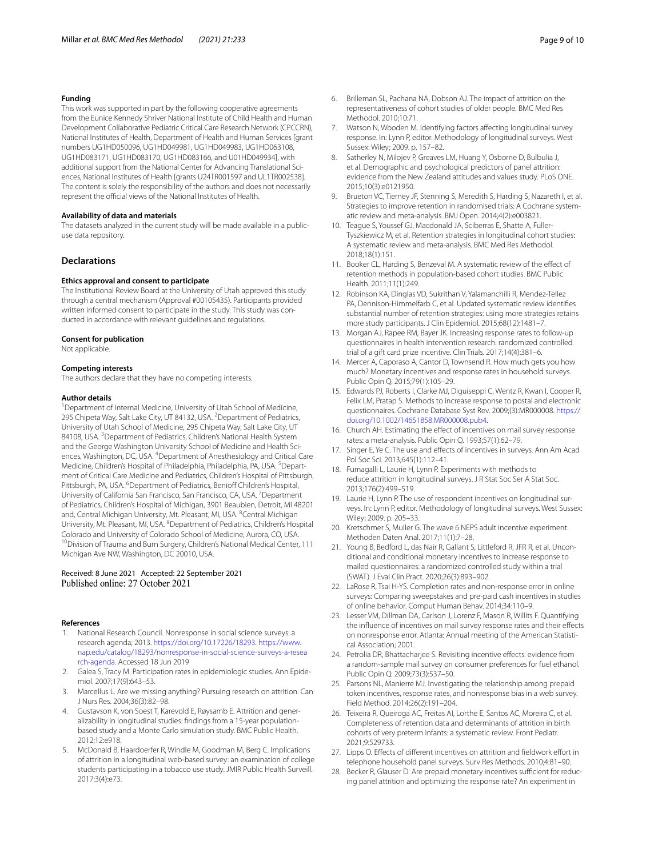#### **Funding**

This work was supported in part by the following cooperative agreements from the Eunice Kennedy Shriver National Institute of Child Health and Human Development Collaborative Pediatric Critical Care Research Network (CPCCRN), National Institutes of Health, Department of Health and Human Services [grant numbers UG1HD050096, UG1HD049981, UG1HD049983, UG1HD063108, UG1HD083171, UG1HD083170, UG1HD083166, and U01HD049934], with additional support from the National Center for Advancing Translational Sciences, National Institutes of Health [grants U24TR001597 and UL1TR002538]. The content is solely the responsibility of the authors and does not necessarily represent the official views of the National Institutes of Health.

#### **Availability of data and materials**

The datasets analyzed in the current study will be made available in a publicuse data repository.

#### **Declarations**

#### **Ethics approval and consent to participate**

The Institutional Review Board at the University of Utah approved this study through a central mechanism (Approval #00105435). Participants provided written informed consent to participate in the study. This study was conducted in accordance with relevant guidelines and regulations.

#### **Consent for publication**

Not applicable.

#### **Competing interests**

The authors declare that they have no competing interests.

#### **Author details**

<sup>1</sup> Department of Internal Medicine, University of Utah School of Medicine, 295 Chipeta Way, Salt Lake City, UT 84132, USA. <sup>2</sup> Department of Pediatrics, University of Utah School of Medicine, 295 Chipeta Way, Salt Lake City, UT 84108, USA. <sup>3</sup> Department of Pediatrics, Children's National Health System and the George Washington University School of Medicine and Health Sciences, Washington, DC, USA. <sup>4</sup> Department of Anesthesiology and Critical Care Medicine, Children's Hospital of Philadelphia, Philadelphia, PA, USA. <sup>5</sup> Department of Critical Care Medicine and Pediatrics, Children's Hospital of Pittsburgh, Pittsburgh, PA, USA. <sup>6</sup>Department of Pediatrics, Benioff Children's Hospital, University of California San Francisco, San Francisco, CA, USA.<sup>7</sup> Department of Pediatrics, Children's Hospital of Michigan, 3901 Beaubien, Detroit, MI 48201 and, Central Michigan University, Mt. Pleasant, MI, USA. <sup>8</sup>Central Michigan University, Mt. Pleasant, MI, USA. <sup>9</sup> Department of Pediatrics, Children's Hospital Colorado and University of Colorado School of Medicine, Aurora, CO, USA.<br><sup>10</sup>Division of Trauma and Burn Surgery, Children's National Medical Center, 111 Michigan Ave NW, Washington, DC 20010, USA.

# Received: 8 June 2021 Accepted: 22 September 2021

#### **References**

- <span id="page-8-0"></span>National Research Council. Nonresponse in social science surveys: a research agenda; 2013. <https://doi.org/10.17226/18293>. [https://www.](https://www.nap.edu/catalog/18293/nonresponse-in-social-science-surveys-a-research-agenda) [nap.edu/catalog/18293/nonresponse-in-social-science-surveys-a-resea](https://www.nap.edu/catalog/18293/nonresponse-in-social-science-surveys-a-research-agenda) [rch-agenda](https://www.nap.edu/catalog/18293/nonresponse-in-social-science-surveys-a-research-agenda). Accessed 18 Jun 2019
- <span id="page-8-1"></span>2. Galea S, Tracy M. Participation rates in epidemiologic studies. Ann Epidemiol. 2007;17(9):643–53.
- <span id="page-8-2"></span>3. Marcellus L. Are we missing anything? Pursuing research on attrition. Can J Nurs Res. 2004;36(3):82–98.
- 4. Gustavson K, von Soest T, Karevold E, Røysamb E. Attrition and generalizability in longitudinal studies: fndings from a 15-year populationbased study and a Monte Carlo simulation study. BMC Public Health. 2012;12:e918.
- 5. McDonald B, Haardoerfer R, Windle M, Goodman M, Berg C. Implications of attrition in a longitudinal web-based survey: an examination of college students participating in a tobacco use study. JMIR Public Health Surveill. 2017;3(4):e73.
- 6. Brilleman SL, Pachana NA, Dobson AJ. The impact of attrition on the representativeness of cohort studies of older people. BMC Med Res Methodol. 2010;10:71.
- 7. Watson N, Wooden M. Identifying factors afecting longitudinal survey response. In: Lynn P, editor. Methodology of longitudinal surveys. West Sussex: Wiley; 2009. p. 157–82.
- <span id="page-8-3"></span>Satherley N, Milojev P, Greaves LM, Huang Y, Osborne D, Bulbulia J, et al. Demographic and psychological predictors of panel attrition: evidence from the New Zealand attitudes and values study. PLoS ONE. 2015;10(3):e0121950.
- <span id="page-8-4"></span>9. Brueton VC, Tierney JF, Stenning S, Meredith S, Harding S, Nazareth I, et al. Strategies to improve retention in randomised trials: A Cochrane systematic review and meta-analysis. BMJ Open. 2014;4(2):e003821.
- <span id="page-8-6"></span>10. Teague S, Youssef GJ, Macdonald JA, Sciberras E, Shatte A, Fuller-Tyszkiewicz M, et al. Retention strategies in longitudinal cohort studies: A systematic review and meta-analysis. BMC Med Res Methodol. 2018;18(1):151.
- <span id="page-8-8"></span>11. Booker CL, Harding S, Benzeval M. A systematic review of the efect of retention methods in population-based cohort studies. BMC Public Health. 2011;11(1):249.
- <span id="page-8-5"></span>12. Robinson KA, Dinglas VD, Sukrithan V, Yalamanchilli R, Mendez-Tellez PA, Dennison-Himmelfarb C, et al. Updated systematic review identifes substantial number of retention strategies: using more strategies retains more study participants. J Clin Epidemiol. 2015;68(12):1481–7.
- <span id="page-8-7"></span>13. Morgan AJ, Rapee RM, Bayer JK. Increasing response rates to follow-up questionnaires in health intervention research: randomized controlled trial of a gift card prize incentive. Clin Trials. 2017;14(4):381–6.
- <span id="page-8-9"></span>14. Mercer A, Caporaso A, Cantor D, Townsend R. How much gets you how much? Monetary incentives and response rates in household surveys. Public Opin Q. 2015;79(1):105–29.
- <span id="page-8-21"></span>15. Edwards PJ, Roberts I, Clarke MJ, Diguiseppi C, Wentz R, Kwan I, Cooper R, Felix LM, Pratap S. Methods to increase response to postal and electronic questionnaires. Cochrane Database Syst Rev. 2009;(3):MR000008. [https://](https://doi.org/10.1002/14651858.MR000008.pub4) [doi.org/10.1002/14651858.MR000008.pub4.](https://doi.org/10.1002/14651858.MR000008.pub4)
- <span id="page-8-23"></span>16. Church AH. Estimating the effect of incentives on mail survey response rates: a meta-analysis. Public Opin Q. 1993;57(1):62–79.
- <span id="page-8-10"></span>17. Singer E, Ye C. The use and efects of incentives in surveys. Ann Am Acad Pol Soc Sci. 2013;645(1):112–41.
- <span id="page-8-11"></span>18. Fumagalli L, Laurie H, Lynn P. Experiments with methods to reduce attrition in longitudinal surveys. J R Stat Soc Ser A Stat Soc. 2013;176(2):499–519.
- <span id="page-8-22"></span>19. Laurie H, Lynn P. The use of respondent incentives on longitudinal surveys. In: Lynn P, editor. Methodology of longitudinal surveys. West Sussex: Wiley; 2009. p. 205–33.
- <span id="page-8-12"></span>20. Kretschmer S, Muller G. The wave 6 NEPS adult incentive experiment. Methoden Daten Anal. 2017;11(1):7–28.
- <span id="page-8-13"></span>21. Young B, Bedford L, das Nair R, Gallant S, Littleford R, JFR R, et al. Unconditional and conditional monetary incentives to increase response to mailed questionnaires: a randomized controlled study within a trial (SWAT). J Eval Clin Pract. 2020;26(3):893–902.
- <span id="page-8-14"></span>22. LaRose R, Tsai H-YS. Completion rates and non-response error in online surveys: Comparing sweepstakes and pre-paid cash incentives in studies of online behavior. Comput Human Behav. 2014;34:110–9.
- <span id="page-8-15"></span>23. Lesser VM, Dillman DA, Carlson J, Lorenz F, Mason R, Willits F. Quantifying the infuence of incentives on mail survey response rates and their efects on nonresponse error. Atlanta: Annual meeting of the American Statistical Association; 2001.
- <span id="page-8-16"></span>24. Petrolia DR, Bhattacharjee S. Revisiting incentive effects: evidence from a random-sample mail survey on consumer preferences for fuel ethanol. Public Opin Q. 2009;73(3):537–50.
- <span id="page-8-17"></span>25. Parsons NL, Manierre MJ. Investigating the relationship among prepaid token incentives, response rates, and nonresponse bias in a web survey. Field Method. 2014;26(2):191–204.
- <span id="page-8-18"></span>26. Teixeira R, Queiroga AC, Freitas AI, Lorthe E, Santos AC, Moreira C, et al. Completeness of retention data and determinants of attrition in birth cohorts of very preterm infants: a systematic review. Front Pediatr. 2021;9:529733.
- <span id="page-8-19"></span>27. Lipps O. Effects of different incentives on attrition and fieldwork effort in telephone household panel surveys. Surv Res Methods. 2010;4:81–90.
- <span id="page-8-20"></span>28. Becker R, Glauser D. Are prepaid monetary incentives sufficient for reducing panel attrition and optimizing the response rate? An experiment in